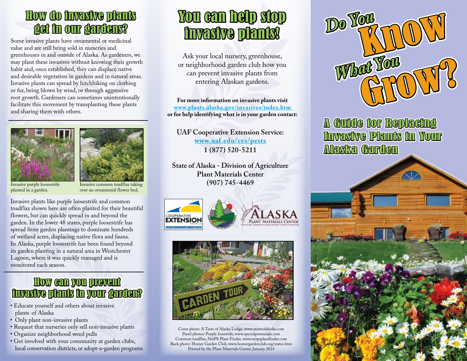## How do invasive plants How do invasive plants get in our gardens?

Some invasive plants have ornamental or medicinal value and are still being sold in nurseries and greenhouses in and outside of Alaska. As gardeners, we may plant these invasives without knowing their growth habit and, once established, they can displace native and desirable vegetation in gardens and in natural areas. Invasive plants can spread by hitchhiking on clothing or fur, being blown by wind, or through aggressive root growth. Gardeners can sometimes unintentionally facilitate this movement by transplanting these plants and sharing them with others.





Invasive purple loosestrife planted in a garden.

Invasive common toadflax taking over an ornamental flower bed.

Invasive plants like purple loosestrife and common toadflax shown here are often planted for their beautiful flowers, but can quickly spread in and beyond the garden. In the lower 48 states, purple loosestrife has spread from garden plantings to dominate hundreds of wetland acres, displacing native flora and fauna. In Alaska, purple loosestrife has been found beyond its garden planting in a natural area in Westchester Lagoon, where it was quickly managed and is monitored each season.

## How can you prevent prevent invasive plants in your garden?

- Educate yourself and others about invasive plants of Alaska
- Only plant non-invasive plants
- Request that nurseries only sell non-invasive plants
- Organize neighborhood weed pulls
- Get involved with your community at garden clubs, local conservation districts, or adopt-a-garden programs

## You can help stop invasive plants!

Ask your local nursery, greenhouse, or neighborhood garden club how you can prevent invasive plants from entering Alaskan gardens.

**For more information on invasive plants visit www.plants.alaska.gov/invasives/index.htm or for help identifying what is in your garden contact:**

**UAF Cooperative Extension Service: www.uaf.edu/ces/pests 1 (877) 520-5211**

**State of Alaska - Division of Agriculture Plant Materials Center (907) 745-4469**







Cover photo: A Taste of Alaska Lodge, www.atasteofalaska.com Panel photos: Purple loosetrife, www.specialperennials.com Common toadflax, NetPS Plant Finder, www.netpsplantfinder.com Back photo: Homer Garden Club, www.homergardenclub.org/status.htm Printed by the Plant Materials Center, January 2014



A Guide for Replacing Alaska Garden Invasive Plants in Your